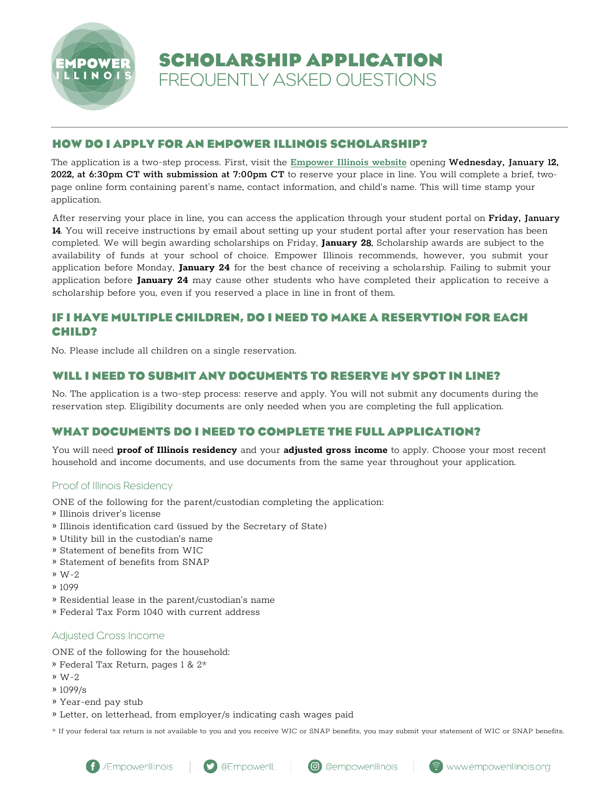

**SCHOLARSHIP APPLICATION** FREQUENTLY ASKED QUESTIONS

# **HOW DO I APPLY FOR AN EMPOWER ILLINOIS SCHOLARSHIP?**

The application is a two-step process. First, visit the [Empower](empowerillinois.org) Illinois website opening Wednesday, January 1**2**, 202**2**, at 6:30pm CT with submission at 7:00pm CT to reserve your place in line. You will complete a brief, twopage online form containing parent's name, contact information, and child's name. This will time stamp your application.

After reserving your place in line, you can access the application through your student portal on Friday, January **1**4. You will receive instructions by email about setting up your student portal after your reservation has been completed. We will begin awarding scholarships on Friday, **January 2**8. Scholarship awards are subject to the availability of funds at your school of choice. Empower Illinois recommends, however, you submit your application before Monday, **January 24** for the best chance of receiving a scholarship. Failing to submit your application before **January 24** may cause other students who have completed their application to receive a scholarship before you, even if you reserved a place in line in front of them.

# **IF I HAVE MULTIPLE CHILDREN, DO I NEED TO MAKE A RESERVTION FOR EACH CHILD?**

No. Please include all children on a single reservation.

# **WILL I NEED TO SUBMIT ANY DOCUMENTS TO RESERVE MY SPOT IN LINE?**

No. The application is a two-step process: reserve and apply. You will not submit any documents during the reservation step. Eligibility documents are only needed when you are completing the full application.

# **WHAT DOCUMENTS DO I NEED TO COMPLETE THE FULL APPLICATION?**

You will need **proof of Illinois residency** and your **adjusted gross income** to apply. Choose your most recent household and income documents, and use documents from the same year throughout your application.

# Proof of Illinois Residency

ONE of the following for the parent/custodian completing the application:

- » Illinois driver's license
- » Illinois identification card (issued by the Secretary of State)
- » Utility bill in the custodian's name
- » Statement of benefits from WIC
- » Statement of benefits from SNAP
- » W-2
- » 1099
- » Residential lease in the parent/custodian's name
- » Federal Tax Form 1040 with current address

## Adjusted Gross Income

ONE of the following for the household:

- » Federal Tax Return, pages 1 & 2\*
- » W-2
- » 1099/s
- » Year-end pay stub
- » Letter, on letterhead, from employer/s indicating cash wages paid

\* If your federal tax return is not available to you and you receive WIC or SNAP benefits, you may submit your statement of WIC or SNAP benefits.